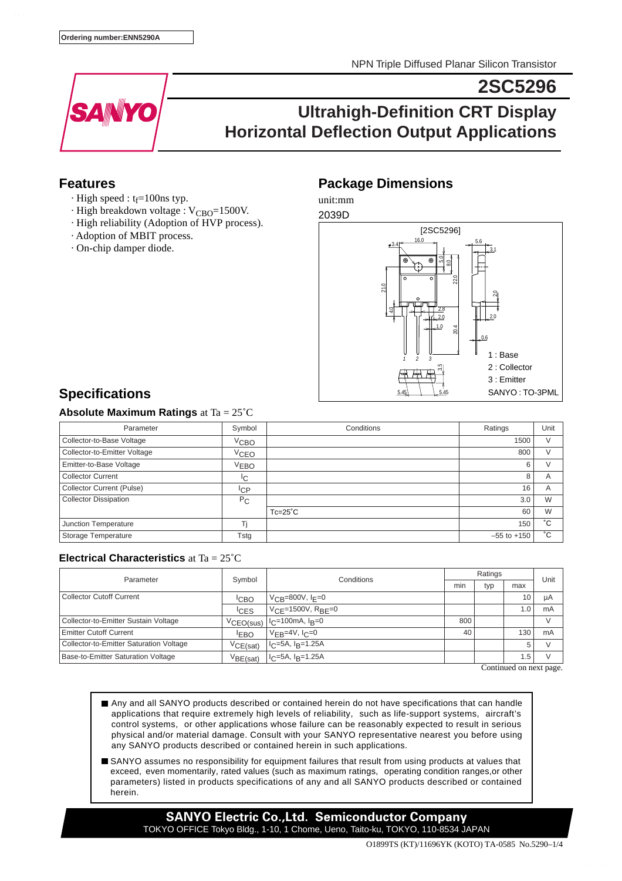NPN Triple Diffused Planar Silicon Transistor

**2SC5296**



# **Ultrahigh-Definition CRT Display Horizontal Deflection Output Applications**

### **Features**

- $\cdot$  High speed : t<sub>f</sub>=100ns typ.
- $\cdot$  High breakdown voltage : V<sub>CBO</sub>=1500V.
- · High reliability (Adoption of HVP process).
- · Adoption of MBIT process.
- · On-chip damper diode.

## **Package Dimensions**

unit:mm



# **Specifications**

### **Absolute Maximum Ratings** at Ta = 25˚C

| Parameter                        | Symbol           | Conditions      | Ratings         | Unit   |
|----------------------------------|------------------|-----------------|-----------------|--------|
| Collector-to-Base Voltage        | <sup>V</sup> сво |                 | 1500            | $\vee$ |
| Collector-to-Emitter Voltage     | V <sub>CEO</sub> |                 | 800             |        |
| Emitter-to-Base Voltage          | <sup>V</sup> ЕВО |                 | 6               |        |
| <b>Collector Current</b>         | IС               |                 | 8               | A      |
| <b>Collector Current (Pulse)</b> | <sup>I</sup> CP  |                 | 16              | A      |
| <b>Collector Dissipation</b>     | $P_{C}$          |                 | 3.0             | W      |
|                                  |                  | $Tc=25^\circ C$ | 60              | W      |
| Junction Temperature             |                  |                 | 150             | °С     |
| Storage Temperature              | Tstg             |                 | $-55$ to $+150$ | °С     |

#### **Electrical Characteristics** at Ta = 25˚C

| Parameter                               | Symbol               | Conditions                      | Ratings |     |      | Unit |
|-----------------------------------------|----------------------|---------------------------------|---------|-----|------|------|
|                                         |                      |                                 | min     | typ | max  |      |
| <b>Collector Cutoff Current</b>         | <sup>I</sup> CBO     | $V_{CB} = 800V, I_{F} = 0$      |         |     | 10   | μA   |
|                                         | <sup>I</sup> CES     | $VCF = 1500V$ , $RBF = 0$       |         |     | i .O | mA   |
| Collector-to-Emitter Sustain Voltage    | VCEO(sus)            | $ I_C=100$ mA, $I_B=0$          | 800     |     |      |      |
| Emitter Cutoff Current                  | <sup>I</sup> EBO     | $V_{EB}$ =4V, I <sub>C</sub> =0 | 40      |     | 130  | mA   |
| Collector-to-Emitter Saturation Voltage | VCE(sat)             | $I_C = 5A$ , $I_B = 1.25A$      |         |     | 5    |      |
| Base-to-Emitter Saturation Voltage      | V <sub>BE(sat)</sub> | $I_C = 5A$ , $I_R = 1.25A$      |         |     | í.5  |      |

Continued on next page.

- Any and all SANYO products described or contained herein do not have specifications that can handle applications that require extremely high levels of reliability, such as life-support systems, aircraft's control systems, or other applications whose failure can be reasonably expected to result in serious physical and/or material damage. Consult with your SANYO representative nearest you before using any SANYO products described or contained herein in such applications.
- SANYO assumes no responsibility for equipment failures that result from using products at values that exceed, even momentarily, rated values (such as maximum ratings, operating condition ranges,or other parameters) listed in products specifications of any and all SANYO products described or contained herein.

**SANYO Electric Co.,Ltd. Semiconductor Company** TOKYO OFFICE Tokyo Bldg., 1-10, 1 Chome, Ueno, Taito-ku, TOKYO, 110-8534 JAPAN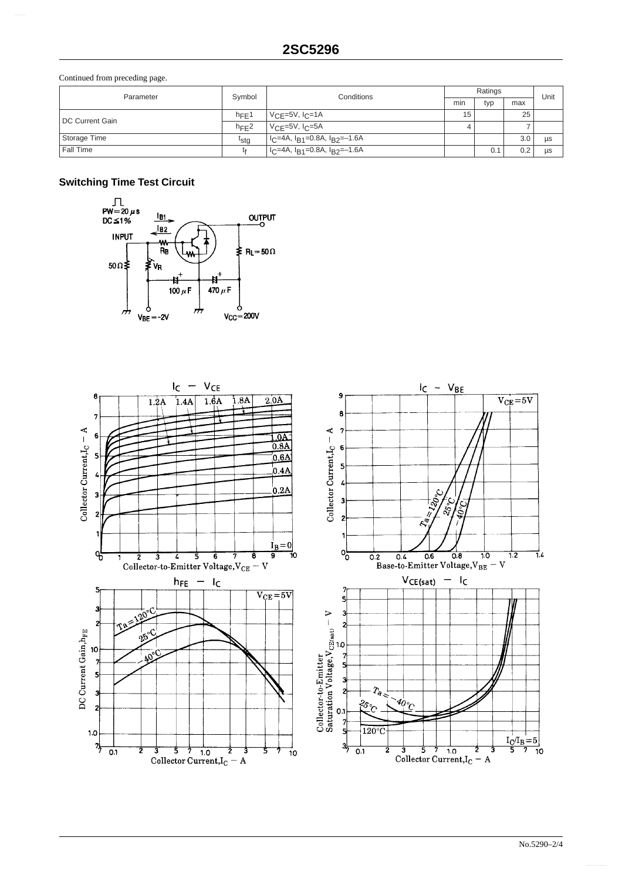Continued from preceding page.

| Parameter       | Symbol           | Conditions                                                          | Ratings |     |     | Unit      |
|-----------------|------------------|---------------------------------------------------------------------|---------|-----|-----|-----------|
|                 |                  |                                                                     | min     | typ | max |           |
| DC Current Gain | $h_{\text{FF}}1$ | $V_{\text{CF}}$ =5V, I <sub>C</sub> =1A                             | 15      |     | 25  |           |
|                 | $h_{\text{FF}}2$ | $V_{C}$ ==5V, $I_{C}$ =5A                                           |         |     |     |           |
| Storage Time    | t <sub>stg</sub> | l I <sub>C</sub> =4A, I <sub>B1</sub> =0.8A, I <sub>B2</sub> =–1.6A |         |     | 3.0 | <b>US</b> |
| Fall Time       |                  | $ C=4A, IB1=0.8A, IB2=-1.6A$                                        |         | 0.1 | 0.2 | <b>US</b> |

### **Switching Time Test Circuit**



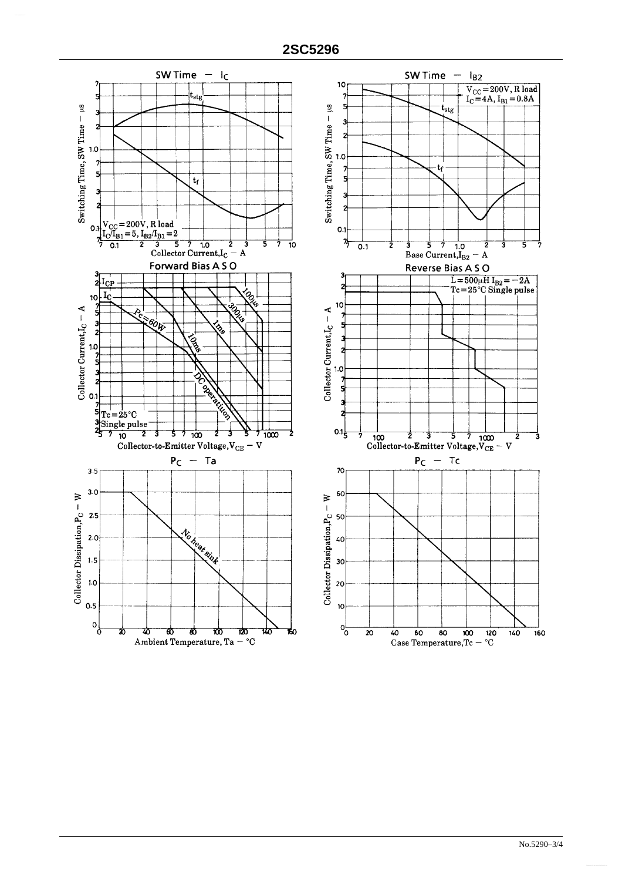